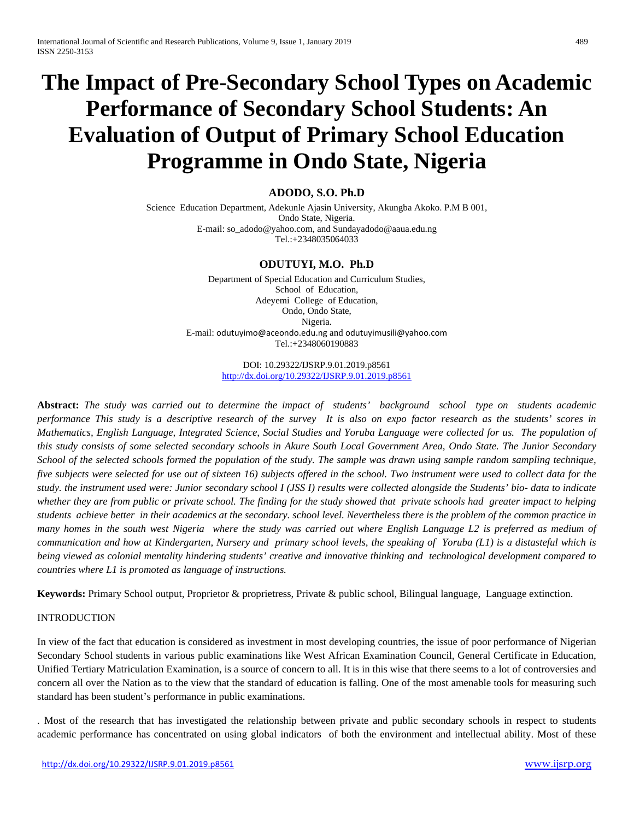# **The Impact of Pre-Secondary School Types on Academic Performance of Secondary School Students: An Evaluation of Output of Primary School Education Programme in Ondo State, Nigeria**

# **ADODO, S.O. Ph.D**

Science Education Department, Adekunle Ajasin University, Akungba Akoko. P.M B 001, Ondo State, Nigeria. E-mail: so\_adodo@yahoo.com, and Sundayadodo@aaua.edu.ng Tel.:+2348035064033

# **ODUTUYI, M.O. Ph.D**

Department of Special Education and Curriculum Studies, School of Education, Adeyemi College of Education, Ondo, Ondo State, Nigeria. E-mail: [odutuyimo@aceondo.edu.ng](mailto:odutuyimo@aceondo.edu.ng) and [odutuyimusili@yahoo.com](mailto:odutuyimusili@yahoo.com) Tel.:+2348060190883

> DOI: 10.29322/IJSRP.9.01.2019.p8561 <http://dx.doi.org/10.29322/IJSRP.9.01.2019.p8561>

**Abstract:** *The study was carried out to determine the impact of students' background school type on students academic performance This study is a descriptive research of the survey It is also on expo factor research as the students' scores in Mathematics, English Language, Integrated Science, Social Studies and Yoruba Language were collected for us. The population of this study consists of some selected secondary schools in Akure South Local Government Area, Ondo State. The Junior Secondary School of the selected schools formed the population of the study. The sample was drawn using sample random sampling technique, five subjects were selected for use out of sixteen 16) subjects offered in the school. Two instrument were used to collect data for the study. the instrument used were: Junior secondary school I (JSS I) results were collected alongside the Students' bio- data to indicate whether they are from public or private school. The finding for the study showed that private schools had greater impact to helping students achieve better in their academics at the secondary. school level. Nevertheless there is the problem of the common practice in many homes in the south west Nigeria where the study was carried out where English Language L2 is preferred as medium of communication and how at Kindergarten, Nursery and primary school levels, the speaking of Yoruba (L1) is a distasteful which is being viewed as colonial mentality hindering students' creative and innovative thinking and technological development compared to countries where L1 is promoted as language of instructions.*

**Keywords:** Primary School output, Proprietor & proprietress, Private & public school, Bilingual language, Language extinction.

## INTRODUCTION

In view of the fact that education is considered as investment in most developing countries, the issue of poor performance of Nigerian Secondary School students in various public examinations like West African Examination Council, General Certificate in Education, Unified Tertiary Matriculation Examination, is a source of concern to all. It is in this wise that there seems to a lot of controversies and concern all over the Nation as to the view that the standard of education is falling. One of the most amenable tools for measuring such standard has been student's performance in public examinations.

. Most of the research that has investigated the relationship between private and public secondary schools in respect to students academic performance has concentrated on using global indicators of both the environment and intellectual ability. Most of these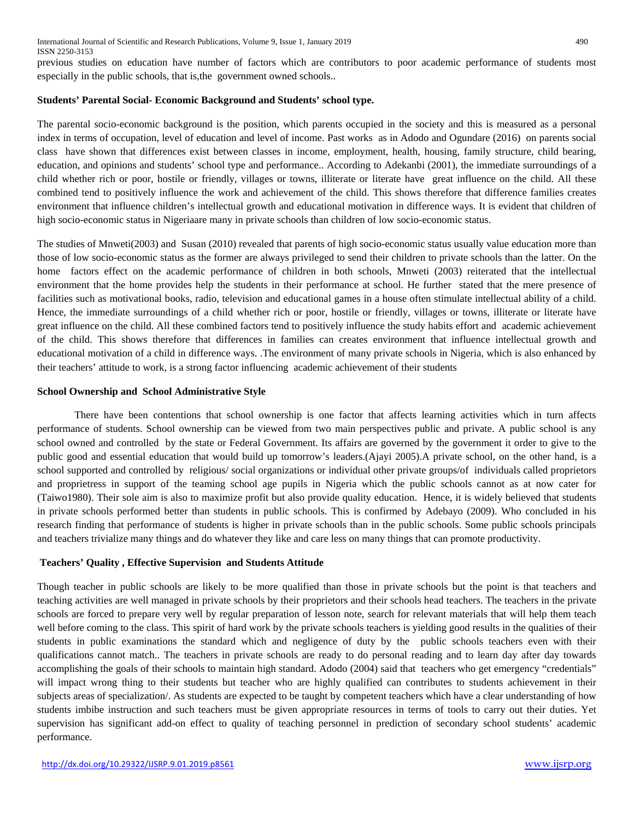previous studies on education have number of factors which are contributors to poor academic performance of students most especially in the public schools, that is,the government owned schools..

## **Students' Parental Social- Economic Background and Students' school type.**

The parental socio-economic background is the position, which parents occupied in the society and this is measured as a personal index in terms of occupation, level of education and level of income. Past works as in Adodo and Ogundare (2016) on parents social class have shown that differences exist between classes in income, employment, health, housing, family structure, child bearing, education, and opinions and students' school type and performance.. According to Adekanbi (2001), the immediate surroundings of a child whether rich or poor, hostile or friendly, villages or towns, illiterate or literate have great influence on the child. All these combined tend to positively influence the work and achievement of the child. This shows therefore that difference families creates environment that influence children's intellectual growth and educational motivation in difference ways. It is evident that children of high socio-economic status in Nigeriaare many in private schools than children of low socio-economic status.

The studies of Mnweti(2003) and Susan (2010) revealed that parents of high socio-economic status usually value education more than those of low socio-economic status as the former are always privileged to send their children to private schools than the latter. On the home factors effect on the academic performance of children in both schools, Mnweti (2003) reiterated that the intellectual environment that the home provides help the students in their performance at school. He further stated that the mere presence of facilities such as motivational books, radio, television and educational games in a house often stimulate intellectual ability of a child. Hence, the immediate surroundings of a child whether rich or poor, hostile or friendly, villages or towns, illiterate or literate have great influence on the child. All these combined factors tend to positively influence the study habits effort and academic achievement of the child. This shows therefore that differences in families can creates environment that influence intellectual growth and educational motivation of a child in difference ways. .The environment of many private schools in Nigeria, which is also enhanced by their teachers' attitude to work, is a strong factor influencing academic achievement of their students

# **School Ownership and School Administrative Style**

There have been contentions that school ownership is one factor that affects learning activities which in turn affects performance of students. School ownership can be viewed from two main perspectives public and private. A public school is any school owned and controlled by the state or Federal Government. Its affairs are governed by the government it order to give to the public good and essential education that would build up tomorrow's leaders.(Ajayi 2005).A private school, on the other hand, is a school supported and controlled by religious/ social organizations or individual other private groups/of individuals called proprietors and proprietress in support of the teaming school age pupils in Nigeria which the public schools cannot as at now cater for (Taiwo1980). Their sole aim is also to maximize profit but also provide quality education. Hence, it is widely believed that students in private schools performed better than students in public schools. This is confirmed by Adebayo (2009). Who concluded in his research finding that performance of students is higher in private schools than in the public schools. Some public schools principals and teachers trivialize many things and do whatever they like and care less on many things that can promote productivity.

# **Teachers' Quality , Effective Supervision and Students Attitude**

Though teacher in public schools are likely to be more qualified than those in private schools but the point is that teachers and teaching activities are well managed in private schools by their proprietors and their schools head teachers. The teachers in the private schools are forced to prepare very well by regular preparation of lesson note, search for relevant materials that will help them teach well before coming to the class. This spirit of hard work by the private schools teachers is yielding good results in the qualities of their students in public examinations the standard which and negligence of duty by the public schools teachers even with their qualifications cannot match.. The teachers in private schools are ready to do personal reading and to learn day after day towards accomplishing the goals of their schools to maintain high standard. Adodo (2004) said that teachers who get emergency "credentials" will impact wrong thing to their students but teacher who are highly qualified can contributes to students achievement in their subjects areas of specialization/. As students are expected to be taught by competent teachers which have a clear understanding of how students imbibe instruction and such teachers must be given appropriate resources in terms of tools to carry out their duties. Yet supervision has significant add-on effect to quality of teaching personnel in prediction of secondary school students' academic performance.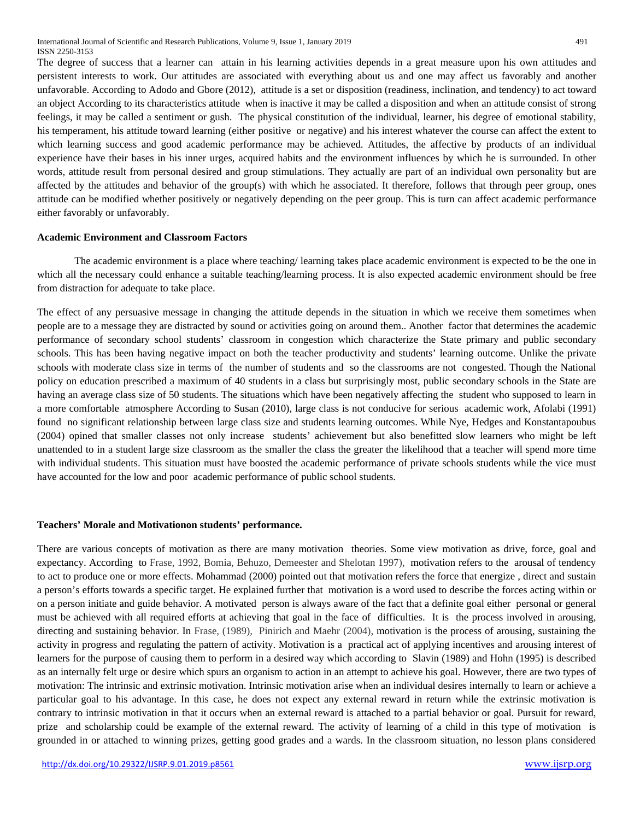The degree of success that a learner can attain in his learning activities depends in a great measure upon his own attitudes and persistent interests to work. Our attitudes are associated with everything about us and one may affect us favorably and another unfavorable. According to Adodo and Gbore (2012), attitude is a set or disposition (readiness, inclination, and tendency) to act toward an object According to its characteristics attitude when is inactive it may be called a disposition and when an attitude consist of strong feelings, it may be called a sentiment or gush. The physical constitution of the individual, learner, his degree of emotional stability, his temperament, his attitude toward learning (either positive or negative) and his interest whatever the course can affect the extent to which learning success and good academic performance may be achieved. Attitudes, the affective by products of an individual experience have their bases in his inner urges, acquired habits and the environment influences by which he is surrounded. In other words, attitude result from personal desired and group stimulations. They actually are part of an individual own personality but are affected by the attitudes and behavior of the group(s) with which he associated. It therefore, follows that through peer group, ones attitude can be modified whether positively or negatively depending on the peer group. This is turn can affect academic performance either favorably or unfavorably.

#### **Academic Environment and Classroom Factors**

The academic environment is a place where teaching/ learning takes place academic environment is expected to be the one in which all the necessary could enhance a suitable teaching/learning process. It is also expected academic environment should be free from distraction for adequate to take place.

The effect of any persuasive message in changing the attitude depends in the situation in which we receive them sometimes when people are to a message they are distracted by sound or activities going on around them.. Another factor that determines the academic performance of secondary school students' classroom in congestion which characterize the State primary and public secondary schools. This has been having negative impact on both the teacher productivity and students' learning outcome. Unlike the private schools with moderate class size in terms of the number of students and so the classrooms are not congested. Though the National policy on education prescribed a maximum of 40 students in a class but surprisingly most, public secondary schools in the State are having an average class size of 50 students. The situations which have been negatively affecting the student who supposed to learn in a more comfortable atmosphere According to Susan (2010), large class is not conducive for serious academic work, Afolabi (1991) found no significant relationship between large class size and students learning outcomes. While Nye, Hedges and Konstantapoubus (2004) opined that smaller classes not only increase students' achievement but also benefitted slow learners who might be left unattended to in a student large size classroom as the smaller the class the greater the likelihood that a teacher will spend more time with individual students. This situation must have boosted the academic performance of private schools students while the vice must have accounted for the low and poor academic performance of public school students.

#### **Teachers' Morale and Motivationon students' performance.**

There are various concepts of motivation as there are many motivation theories. Some view motivation as drive, force, goal and expectancy. According to Frase, 1992, Bomia, Behuzo, Demeester and Shelotan 1997), motivation refers to the arousal of tendency to act to produce one or more effects. Mohammad (2000) pointed out that motivation refers the force that energize , direct and sustain a person's efforts towards a specific target. He explained further that motivation is a word used to describe the forces acting within or on a person initiate and guide behavior. A motivated person is always aware of the fact that a definite goal either personal or general must be achieved with all required efforts at achieving that goal in the face of difficulties. It is the process involved in arousing, directing and sustaining behavior. In Frase, (1989), Pinirich and Maehr (2004), motivation is the process of arousing, sustaining the activity in progress and regulating the pattern of activity. Motivation is a practical act of applying incentives and arousing interest of learners for the purpose of causing them to perform in a desired way which according to Slavin (1989) and Hohn (1995) is described as an internally felt urge or desire which spurs an organism to action in an attempt to achieve his goal. However, there are two types of motivation: The intrinsic and extrinsic motivation. Intrinsic motivation arise when an individual desires internally to learn or achieve a particular goal to his advantage. In this case, he does not expect any external reward in return while the extrinsic motivation is contrary to intrinsic motivation in that it occurs when an external reward is attached to a partial behavior or goal. Pursuit for reward, prize and scholarship could be example of the external reward. The activity of learning of a child in this type of motivation is grounded in or attached to winning prizes, getting good grades and a wards. In the classroom situation, no lesson plans considered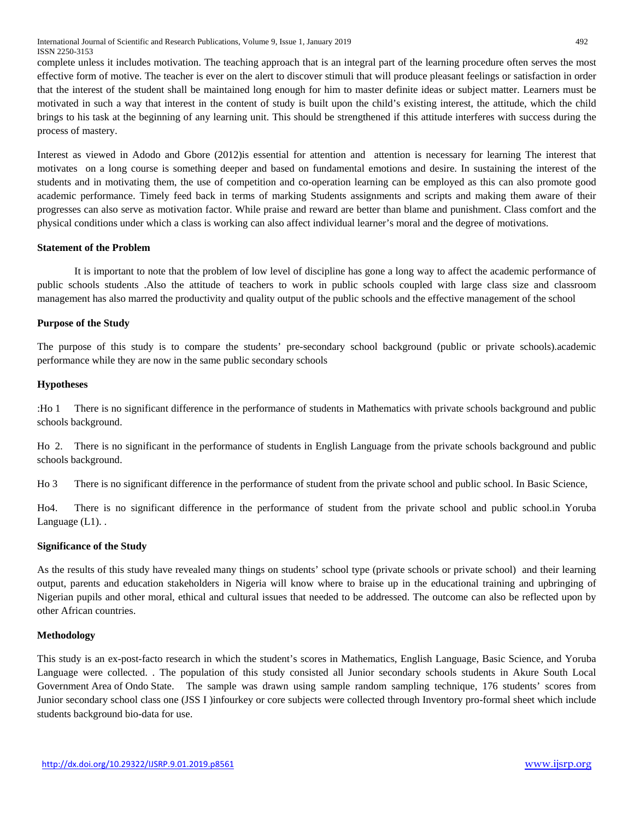International Journal of Scientific and Research Publications, Volume 9, Issue 1, January 2019 492 ISSN 2250-3153

complete unless it includes motivation. The teaching approach that is an integral part of the learning procedure often serves the most effective form of motive. The teacher is ever on the alert to discover stimuli that will produce pleasant feelings or satisfaction in order that the interest of the student shall be maintained long enough for him to master definite ideas or subject matter. Learners must be motivated in such a way that interest in the content of study is built upon the child's existing interest, the attitude, which the child brings to his task at the beginning of any learning unit. This should be strengthened if this attitude interferes with success during the process of mastery.

Interest as viewed in Adodo and Gbore (2012)is essential for attention and attention is necessary for learning The interest that motivates on a long course is something deeper and based on fundamental emotions and desire. In sustaining the interest of the students and in motivating them, the use of competition and co-operation learning can be employed as this can also promote good academic performance. Timely feed back in terms of marking Students assignments and scripts and making them aware of their progresses can also serve as motivation factor. While praise and reward are better than blame and punishment. Class comfort and the physical conditions under which a class is working can also affect individual learner's moral and the degree of motivations.

## **Statement of the Problem**

It is important to note that the problem of low level of discipline has gone a long way to affect the academic performance of public schools students .Also the attitude of teachers to work in public schools coupled with large class size and classroom management has also marred the productivity and quality output of the public schools and the effective management of the school

## **Purpose of the Study**

The purpose of this study is to compare the students' pre-secondary school background (public or private schools).academic performance while they are now in the same public secondary schools

#### **Hypotheses**

:Ho 1 There is no significant difference in the performance of students in Mathematics with private schools background and public schools background.

Ho 2. There is no significant in the performance of students in English Language from the private schools background and public schools background.

Ho 3 There is no significant difference in the performance of student from the private school and public school. In Basic Science,

Ho4. There is no significant difference in the performance of student from the private school and public school.in Yoruba Language (L1). .

#### **Significance of the Study**

As the results of this study have revealed many things on students' school type (private schools or private school) and their learning output, parents and education stakeholders in Nigeria will know where to braise up in the educational training and upbringing of Nigerian pupils and other moral, ethical and cultural issues that needed to be addressed. The outcome can also be reflected upon by other African countries.

#### **Methodology**

This study is an ex-post-facto research in which the student's scores in Mathematics, English Language, Basic Science, and Yoruba Language were collected. . The population of this study consisted all Junior secondary schools students in Akure South Local Government Area of Ondo State. The sample was drawn using sample random sampling technique, 176 students' scores from Junior secondary school class one (JSS I )infourkey or core subjects were collected through Inventory pro-formal sheet which include students background bio-data for use.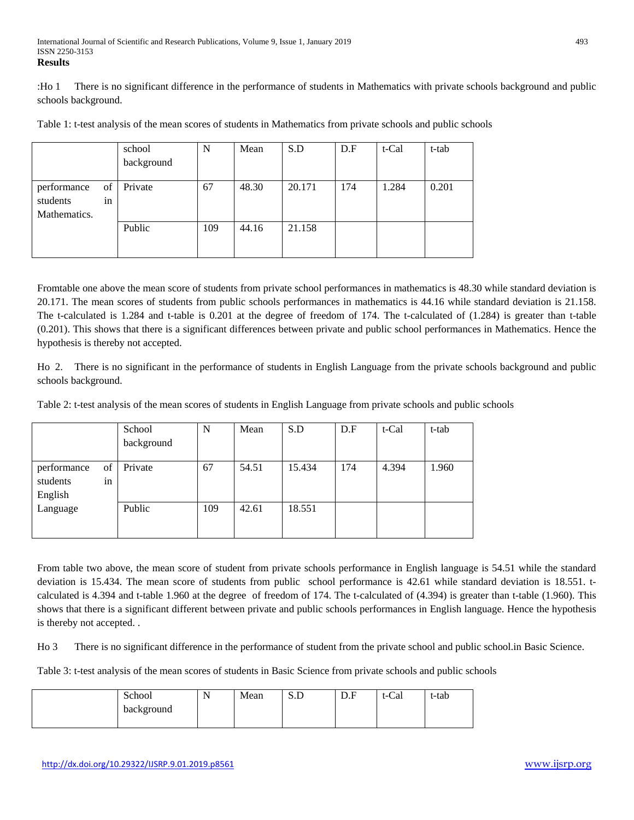:Ho 1 There is no significant difference in the performance of students in Mathematics with private schools background and public schools background.

Table 1: t-test analysis of the mean scores of students in Mathematics from private schools and public schools

|                   | school     | N   | Mean  | S.D    | D.F | t-Cal | t-tab |
|-------------------|------------|-----|-------|--------|-----|-------|-------|
|                   | background |     |       |        |     |       |       |
|                   |            |     |       |        |     |       |       |
| of<br>performance | Private    | 67  | 48.30 | 20.171 | 174 | 1.284 | 0.201 |
| students<br>in    |            |     |       |        |     |       |       |
| Mathematics.      |            |     |       |        |     |       |       |
|                   | Public     | 109 | 44.16 | 21.158 |     |       |       |
|                   |            |     |       |        |     |       |       |
|                   |            |     |       |        |     |       |       |

Fromtable one above the mean score of students from private school performances in mathematics is 48.30 while standard deviation is 20.171. The mean scores of students from public schools performances in mathematics is 44.16 while standard deviation is 21.158. The t-calculated is 1.284 and t-table is 0.201 at the degree of freedom of 174. The t-calculated of (1.284) is greater than t-table (0.201). This shows that there is a significant differences between private and public school performances in Mathematics. Hence the hypothesis is thereby not accepted.

Ho 2. There is no significant in the performance of students in English Language from the private schools background and public schools background.

Table 2: t-test analysis of the mean scores of students in English Language from private schools and public schools

|             |    | School     | N   | Mean  | S.D    | D.F | t-Cal | t-tab |
|-------------|----|------------|-----|-------|--------|-----|-------|-------|
|             |    | background |     |       |        |     |       |       |
|             |    |            |     |       |        |     |       |       |
| performance | of | Private    | 67  | 54.51 | 15.434 | 174 | 4.394 | 1.960 |
| students    | in |            |     |       |        |     |       |       |
| English     |    |            |     |       |        |     |       |       |
| Language    |    | Public     | 109 | 42.61 | 18.551 |     |       |       |
|             |    |            |     |       |        |     |       |       |
|             |    |            |     |       |        |     |       |       |

From table two above, the mean score of student from private schools performance in English language is 54.51 while the standard deviation is 15.434. The mean score of students from public school performance is 42.61 while standard deviation is 18.551. tcalculated is 4.394 and t-table 1.960 at the degree of freedom of 174. The t-calculated of (4.394) is greater than t-table (1.960). This shows that there is a significant different between private and public schools performances in English language. Hence the hypothesis is thereby not accepted. .

Ho 3 There is no significant difference in the performance of student from the private school and public school.in Basic Science.

Table 3: t-test analysis of the mean scores of students in Basic Science from private schools and public schools

| School     | $\sim$ $\sim$<br>N | Mean | ນ.ມ | D.F | t-Cal | t-tab |
|------------|--------------------|------|-----|-----|-------|-------|
| background |                    |      |     |     |       |       |
|            |                    |      |     |     |       |       |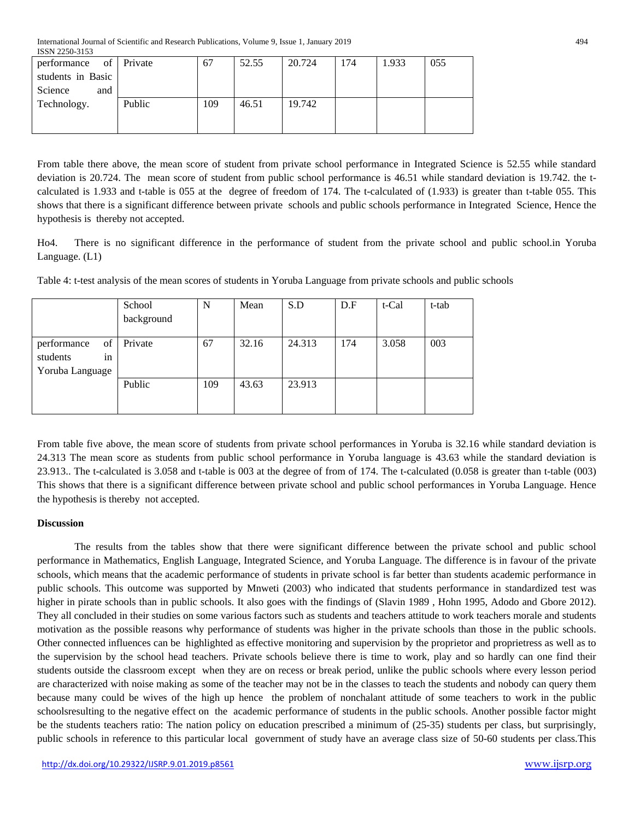| performance of    | Private | 67  | 52.55 | 20.724 | 174 | 1.933 | 055 |
|-------------------|---------|-----|-------|--------|-----|-------|-----|
| students in Basic |         |     |       |        |     |       |     |
| Science<br>and    |         |     |       |        |     |       |     |
| Technology.       | Public  | 109 | 46.51 | 19.742 |     |       |     |
|                   |         |     |       |        |     |       |     |
|                   |         |     |       |        |     |       |     |

From table there above, the mean score of student from private school performance in Integrated Science is 52.55 while standard deviation is 20.724. The mean score of student from public school performance is 46.51 while standard deviation is 19.742. the tcalculated is 1.933 and t-table is 055 at the degree of freedom of 174. The t-calculated of (1.933) is greater than t-table 055. This shows that there is a significant difference between private schools and public schools performance in Integrated Science, Hence the hypothesis is thereby not accepted.

Ho4. There is no significant difference in the performance of student from the private school and public school.in Yoruba Language. (L1)

|                   | School     | N   | Mean  | S.D    | D.F | t-Cal | t-tab |
|-------------------|------------|-----|-------|--------|-----|-------|-------|
|                   | background |     |       |        |     |       |       |
|                   |            |     |       |        |     |       |       |
| of<br>performance | Private    | 67  | 32.16 | 24.313 | 174 | 3.058 | 003   |
| students<br>in    |            |     |       |        |     |       |       |
| Yoruba Language   |            |     |       |        |     |       |       |
|                   | Public     | 109 | 43.63 | 23.913 |     |       |       |
|                   |            |     |       |        |     |       |       |
|                   |            |     |       |        |     |       |       |

Table 4: t-test analysis of the mean scores of students in Yoruba Language from private schools and public schools

From table five above, the mean score of students from private school performances in Yoruba is 32.16 while standard deviation is 24.313 The mean score as students from public school performance in Yoruba language is 43.63 while the standard deviation is 23.913.. The t-calculated is 3.058 and t-table is 003 at the degree of from of 174. The t-calculated (0.058 is greater than t-table (003) This shows that there is a significant difference between private school and public school performances in Yoruba Language. Hence the hypothesis is thereby not accepted.

# **Discussion**

The results from the tables show that there were significant difference between the private school and public school performance in Mathematics, English Language, Integrated Science, and Yoruba Language. The difference is in favour of the private schools, which means that the academic performance of students in private school is far better than students academic performance in public schools. This outcome was supported by Mnweti (2003) who indicated that students performance in standardized test was higher in pirate schools than in public schools. It also goes with the findings of (Slavin 1989, Hohn 1995, Adodo and Gbore 2012). They all concluded in their studies on some various factors such as students and teachers attitude to work teachers morale and students motivation as the possible reasons why performance of students was higher in the private schools than those in the public schools. Other connected influences can be highlighted as effective monitoring and supervision by the proprietor and proprietress as well as to the supervision by the school head teachers. Private schools believe there is time to work, play and so hardly can one find their students outside the classroom except when they are on recess or break period, unlike the public schools where every lesson period are characterized with noise making as some of the teacher may not be in the classes to teach the students and nobody can query them because many could be wives of the high up hence the problem of nonchalant attitude of some teachers to work in the public schoolsresulting to the negative effect on the academic performance of students in the public schools. Another possible factor might be the students teachers ratio: The nation policy on education prescribed a minimum of (25-35) students per class, but surprisingly, public schools in reference to this particular local government of study have an average class size of 50-60 students per class.This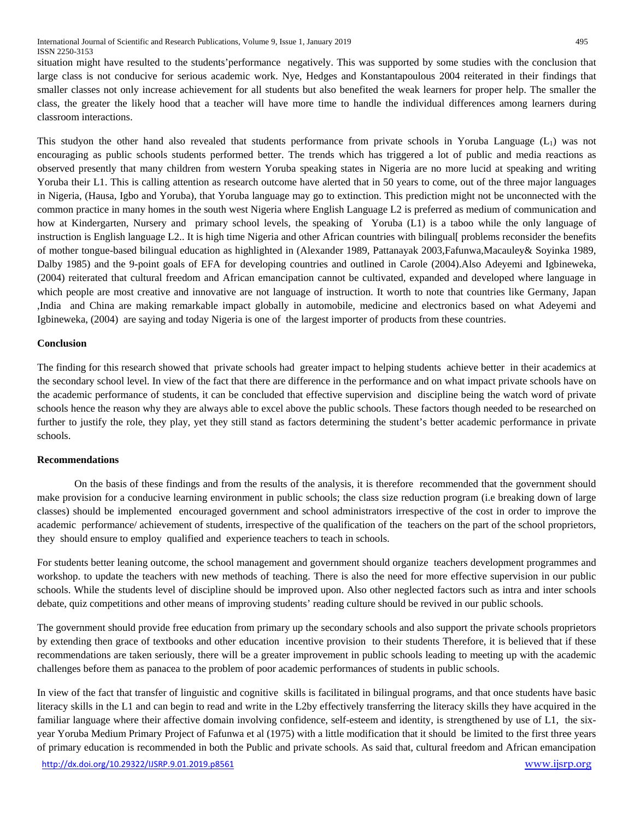situation might have resulted to the students'performance negatively. This was supported by some studies with the conclusion that large class is not conducive for serious academic work. Nye, Hedges and Konstantapoulous 2004 reiterated in their findings that smaller classes not only increase achievement for all students but also benefited the weak learners for proper help. The smaller the class, the greater the likely hood that a teacher will have more time to handle the individual differences among learners during classroom interactions.

This studyon the other hand also revealed that students performance from private schools in Yoruba Language (L1) was not encouraging as public schools students performed better. The trends which has triggered a lot of public and media reactions as observed presently that many children from western Yoruba speaking states in Nigeria are no more lucid at speaking and writing Yoruba their L1. This is calling attention as research outcome have alerted that in 50 years to come, out of the three major languages in Nigeria, (Hausa, Igbo and Yoruba), that Yoruba language may go to extinction. This prediction might not be unconnected with the common practice in many homes in the south west Nigeria where English Language L2 is preferred as medium of communication and how at Kindergarten, Nursery and primary school levels, the speaking of Yoruba (L1) is a taboo while the only language of instruction is English language L2.. It is high time Nigeria and other African countries with bilingual[ problems reconsider the benefits of mother tongue-based bilingual education as highlighted in (Alexander 1989, Pattanayak 2003,Fafunwa,Macauley& Soyinka 1989, Dalby 1985) and the 9-point goals of EFA for developing countries and outlined in Carole (2004).Also Adeyemi and Igbineweka, (2004) reiterated that cultural freedom and African emancipation cannot be cultivated, expanded and developed where language in which people are most creative and innovative are not language of instruction. It worth to note that countries like Germany, Japan ,India and China are making remarkable impact globally in automobile, medicine and electronics based on what Adeyemi and Igbineweka, (2004) are saying and today Nigeria is one of the largest importer of products from these countries.

## **Conclusion**

The finding for this research showed that private schools had greater impact to helping students achieve better in their academics at the secondary school level. In view of the fact that there are difference in the performance and on what impact private schools have on the academic performance of students, it can be concluded that effective supervision and discipline being the watch word of private schools hence the reason why they are always able to excel above the public schools. These factors though needed to be researched on further to justify the role, they play, yet they still stand as factors determining the student's better academic performance in private schools.

## **Recommendations**

On the basis of these findings and from the results of the analysis, it is therefore recommended that the government should make provision for a conducive learning environment in public schools; the class size reduction program (i.e breaking down of large classes) should be implemented encouraged government and school administrators irrespective of the cost in order to improve the academic performance/ achievement of students, irrespective of the qualification of the teachers on the part of the school proprietors, they should ensure to employ qualified and experience teachers to teach in schools.

For students better leaning outcome, the school management and government should organize teachers development programmes and workshop. to update the teachers with new methods of teaching. There is also the need for more effective supervision in our public schools. While the students level of discipline should be improved upon. Also other neglected factors such as intra and inter schools debate, quiz competitions and other means of improving students' reading culture should be revived in our public schools.

The government should provide free education from primary up the secondary schools and also support the private schools proprietors by extending then grace of textbooks and other education incentive provision to their students Therefore, it is believed that if these recommendations are taken seriously, there will be a greater improvement in public schools leading to meeting up with the academic challenges before them as panacea to the problem of poor academic performances of students in public schools.

In view of the fact that transfer of linguistic and cognitive skills is facilitated in bilingual programs, and that once students have basic literacy skills in the L1 and can begin to read and write in the L2by effectively transferring the literacy skills they have acquired in the familiar language where their affective domain involving confidence, self-esteem and identity, is strengthened by use of L1, the sixyear Yoruba Medium Primary Project of Fafunwa et al (1975) with a little modification that it should be limited to the first three years of primary education is recommended in both the Public and private schools. As said that, cultural freedom and African emancipation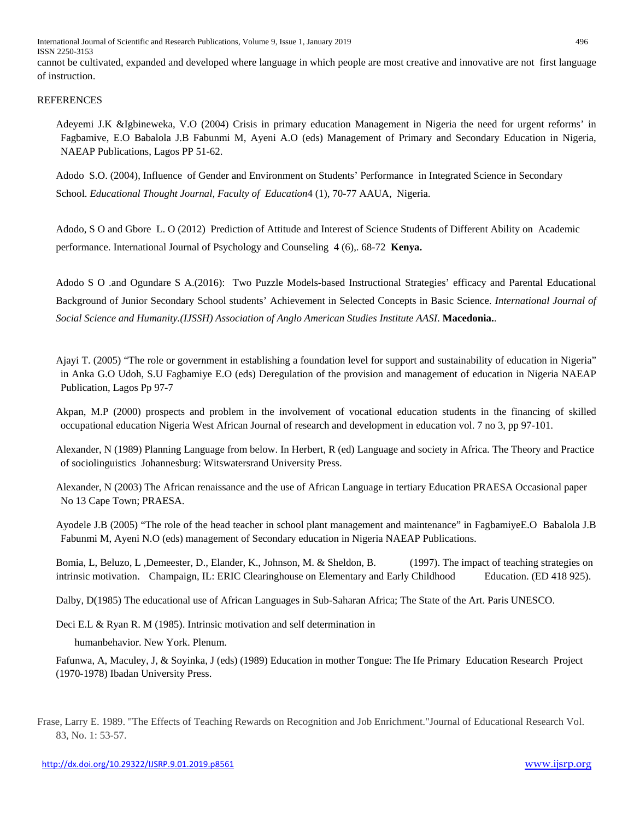International Journal of Scientific and Research Publications, Volume 9, Issue 1, January 2019 496 ISSN 2250-3153

cannot be cultivated, expanded and developed where language in which people are most creative and innovative are not first language of instruction.

## **REFERENCES**

Adeyemi J.K &Igbineweka, V.O (2004) Crisis in primary education Management in Nigeria the need for urgent reforms' in Fagbamive, E.O Babalola J.B Fabunmi M, Ayeni A.O (eds) Management of Primary and Secondary Education in Nigeria, NAEAP Publications, Lagos PP 51-62.

Adodo S.O. (2004), Influence of Gender and Environment on Students' Performance in Integrated Science in Secondary School. *Educational Thought Journal, Faculty of Education*4 (1), 70-77 AAUA, Nigeria.

Adodo, S O and Gbore L. O (2012) Prediction of Attitude and Interest of Science Students of Different Ability on Academic performance. International Journal of Psychology and Counseling 4 (6),. 68-72 **Kenya.**

Adodo S O .and Ogundare S A.(2016): Two Puzzle Models-based Instructional Strategies' efficacy and Parental Educational Background of Junior Secondary School students' Achievement in Selected Concepts in Basic Science. *International Journal of Social Science and Humanity.(IJSSH) Association of Anglo American Studies Institute AASI*. **Macedonia.**.

Ajayi T. (2005) "The role or government in establishing a foundation level for support and sustainability of education in Nigeria" in Anka G.O Udoh, S.U Fagbamiye E.O (eds) Deregulation of the provision and management of education in Nigeria NAEAP Publication, Lagos Pp 97-7

Akpan, M.P (2000) prospects and problem in the involvement of vocational education students in the financing of skilled occupational education Nigeria West African Journal of research and development in education vol. 7 no 3, pp 97-101.

Alexander, N (1989) Planning Language from below. In Herbert, R (ed) Language and society in Africa. The Theory and Practice of sociolinguistics Johannesburg: Witswatersrand University Press.

Alexander, N (2003) The African renaissance and the use of African Language in tertiary Education PRAESA Occasional paper No 13 Cape Town; PRAESA.

Ayodele J.B (2005) "The role of the head teacher in school plant management and maintenance" in FagbamiyeE.O Babalola J.B Fabunmi M, Ayeni N.O (eds) management of Secondary education in Nigeria NAEAP Publications.

Bomia, L, Beluzo, L, Demeester, D., Elander, K., Johnson, M. & Sheldon, B. (1997). The impact of teaching strategies on intrinsic motivation. Champaign, IL: ERIC Clearinghouse on Elementary and Early Childhood Education. (ED 418 925).

Dalby, D(1985) The educational use of African Languages in Sub-Saharan Africa; The State of the Art. Paris UNESCO.

Deci E.L & Ryan R. M (1985). Intrinsic motivation and self determination in

humanbehavior. New York. Plenum.

Fafunwa, A, Maculey, J, & Soyinka, J (eds) (1989) Education in mother Tongue: The Ife Primary Education Research Project (1970-1978) Ibadan University Press.

Frase, Larry E. 1989. "The Effects of Teaching Rewards on Recognition and Job Enrichment."Journal of Educational Research Vol. 83, No. 1: 53-57.